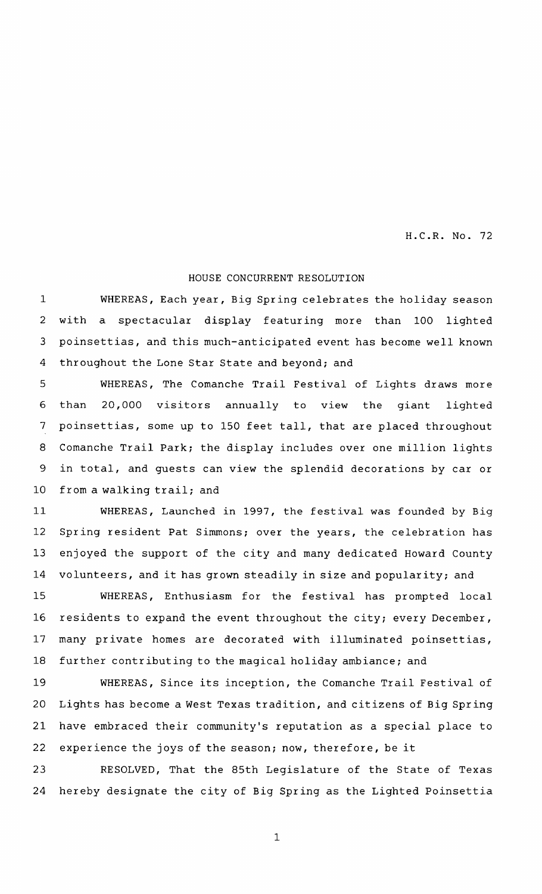H.C.R. No. 72

## HOUSE CONCURRENT RESOLUTION

WHEREAS, Each year, Big Spring celebrates the holiday season with <sup>a</sup> spectacular display featuring more than 100 lighted poinsettias , and this much- anticipated event has become well known throughout the Lone Star State and beyond; and 1 2 3 4

WHEREAS, The Comanche Trail Festival of Lights draws more than 20,000 visitors annually to view the giant lighted poinsettias, some up to 150 feet tall, that are placed throughout Comanche Trail Park; the display includes over one million lights in total, and quests can view the splendid decorations by car or from <sup>a</sup> walking trail; and 5 6 7 8 9 10

WHEREAS, Launched in 1997, the festival was founded by Big Spring resident Pat Simmons; over the years, the celebration has enjoyed the support of the city and many dedicated Howard County volunteers, and it has grown steadily in size and popularity; and 11 12 13 14

WHEREAS, Enthusiasm for the festival has prompted local residents to expand the event throughout the city; every December, many private homes are decorated with illuminated poinsettias, further contributing to the magical holiday ambiance; and 15 16 17 18

WHEREAS, Since its inception, the Comanche Trail Festival of Lights has become a West Texas tradition, and citizens of Big Spring have embraced their community's reputation as a special place to experience the joys of the season; now, therefore, be it 19 20 21 22

RESOLVED, That the 85th Legislature of the State of Texas hereby designate the city of Big Spring as the Lighted Poinsettia 23 24

1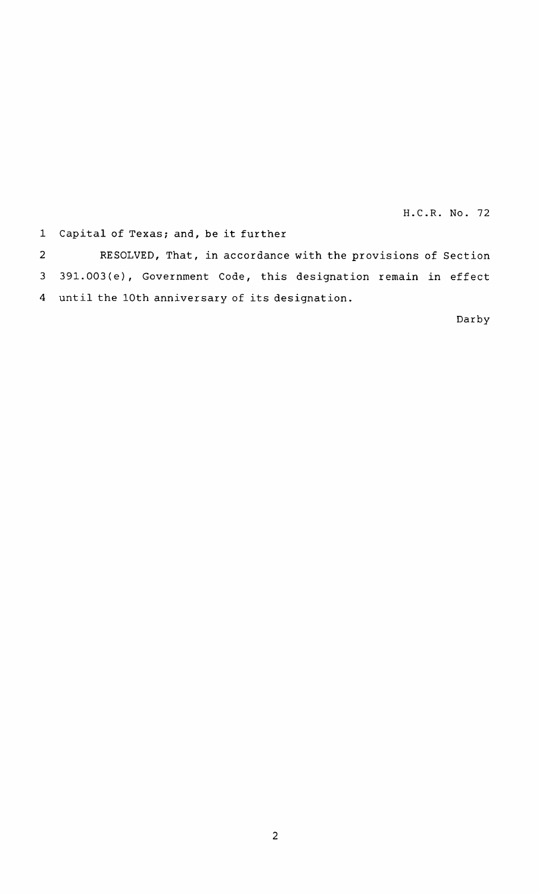H.C.R. No. 72

1 Capital of Texas; and, be it further

RESOLVED, That, in accordance with the provisions of Section 391.003(e), Government Code, this designation remain in effect until the 10th anniversary of its designation. 4 2 3

Darby